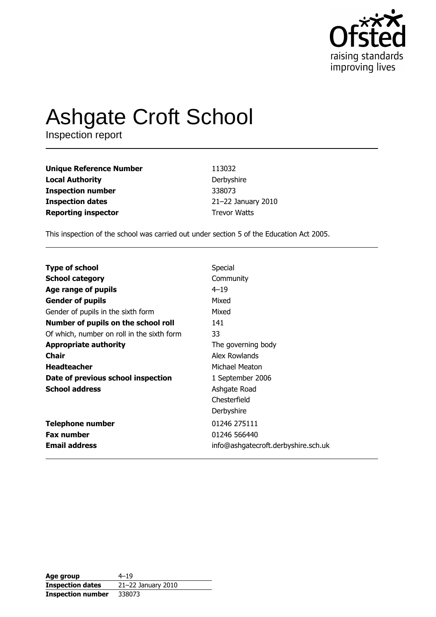

# Ashgate Croft School

| <b>Unique Reference Number</b> | 113032              |
|--------------------------------|---------------------|
| <b>Local Authority</b>         | Derbyshire          |
| <b>Inspection number</b>       | 338073              |
| <b>Inspection dates</b>        | 21-22 January 2010  |
| <b>Reporting inspector</b>     | <b>Trevor Watts</b> |

This inspection of the school was carried out under section 5 of the Education Act 2005.

| <b>Type of school</b>                      | Special                             |
|--------------------------------------------|-------------------------------------|
|                                            |                                     |
| <b>School category</b>                     | Community                           |
| Age range of pupils                        | $4 - 19$                            |
| <b>Gender of pupils</b>                    | Mixed                               |
| Gender of pupils in the sixth form         | Mixed                               |
| Number of pupils on the school roll        | 141                                 |
| Of which, number on roll in the sixth form | 33                                  |
| <b>Appropriate authority</b>               | The governing body                  |
| <b>Chair</b>                               | Alex Rowlands                       |
| <b>Headteacher</b>                         | Michael Meaton                      |
| Date of previous school inspection         | 1 September 2006                    |
| <b>School address</b>                      | Ashgate Road                        |
|                                            | Chesterfield                        |
|                                            | Derbyshire                          |
| <b>Telephone number</b>                    | 01246 275111                        |
| <b>Fax number</b>                          | 01246 566440                        |
| <b>Email address</b>                       | info@ashgatecroft.derbyshire.sch.uk |

| Age group                | $4 - 19$           |
|--------------------------|--------------------|
| <b>Inspection dates</b>  | 21-22 January 2010 |
| <b>Inspection number</b> | 338073             |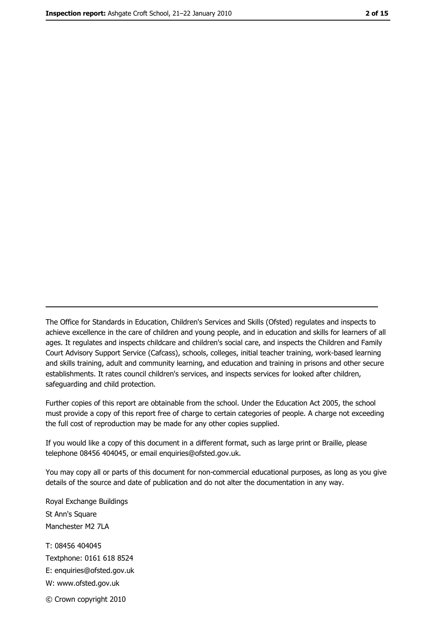The Office for Standards in Education, Children's Services and Skills (Ofsted) regulates and inspects to achieve excellence in the care of children and young people, and in education and skills for learners of all ages. It regulates and inspects childcare and children's social care, and inspects the Children and Family Court Advisory Support Service (Cafcass), schools, colleges, initial teacher training, work-based learning and skills training, adult and community learning, and education and training in prisons and other secure establishments. It rates council children's services, and inspects services for looked after children, safequarding and child protection.

Further copies of this report are obtainable from the school. Under the Education Act 2005, the school must provide a copy of this report free of charge to certain categories of people. A charge not exceeding the full cost of reproduction may be made for any other copies supplied.

If you would like a copy of this document in a different format, such as large print or Braille, please telephone 08456 404045, or email enquiries@ofsted.gov.uk.

You may copy all or parts of this document for non-commercial educational purposes, as long as you give details of the source and date of publication and do not alter the documentation in any way.

Royal Exchange Buildings St Ann's Square Manchester M2 7LA T: 08456 404045 Textphone: 0161 618 8524 E: enquiries@ofsted.gov.uk W: www.ofsted.gov.uk © Crown copyright 2010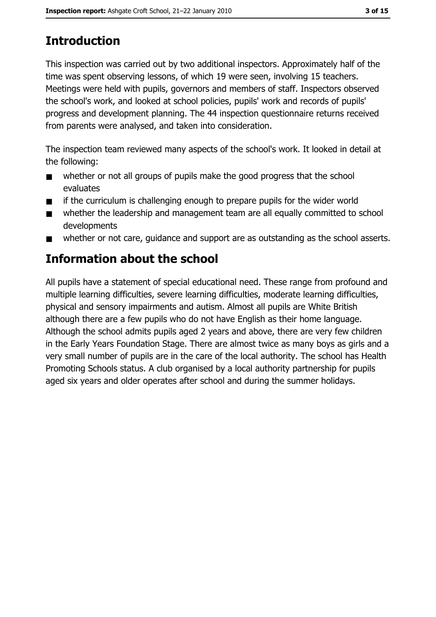# **Introduction**

This inspection was carried out by two additional inspectors. Approximately half of the time was spent observing lessons, of which 19 were seen, involving 15 teachers. Meetings were held with pupils, governors and members of staff. Inspectors observed the school's work, and looked at school policies, pupils' work and records of pupils' progress and development planning. The 44 inspection questionnaire returns received from parents were analysed, and taken into consideration.

The inspection team reviewed many aspects of the school's work. It looked in detail at the following:

- whether or not all groups of pupils make the good progress that the school  $\blacksquare$ evaluates
- if the curriculum is challenging enough to prepare pupils for the wider world  $\blacksquare$
- whether the leadership and management team are all equally committed to school  $\blacksquare$ developments
- whether or not care, quidance and support are as outstanding as the school asserts.  $\blacksquare$

# Information about the school

All pupils have a statement of special educational need. These range from profound and multiple learning difficulties, severe learning difficulties, moderate learning difficulties, physical and sensory impairments and autism. Almost all pupils are White British although there are a few pupils who do not have English as their home language. Although the school admits pupils aged 2 years and above, there are very few children in the Early Years Foundation Stage. There are almost twice as many boys as girls and a very small number of pupils are in the care of the local authority. The school has Health Promoting Schools status. A club organised by a local authority partnership for pupils aged six years and older operates after school and during the summer holidays.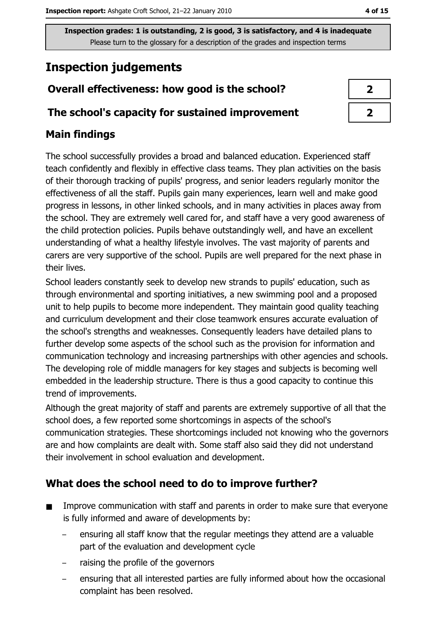# **Inspection judgements**

## Overall effectiveness: how good is the school?

#### The school's capacity for sustained improvement

## **Main findings**

The school successfully provides a broad and balanced education. Experienced staff teach confidently and flexibly in effective class teams. They plan activities on the basis of their thorough tracking of pupils' progress, and senior leaders regularly monitor the effectiveness of all the staff. Pupils gain many experiences, learn well and make good progress in lessons, in other linked schools, and in many activities in places away from the school. They are extremely well cared for, and staff have a very good awareness of the child protection policies. Pupils behave outstandingly well, and have an excellent understanding of what a healthy lifestyle involves. The vast majority of parents and carers are very supportive of the school. Pupils are well prepared for the next phase in their lives.

School leaders constantly seek to develop new strands to pupils' education, such as through environmental and sporting initiatives, a new swimming pool and a proposed unit to help pupils to become more independent. They maintain good quality teaching and curriculum development and their close teamwork ensures accurate evaluation of the school's strengths and weaknesses. Consequently leaders have detailed plans to further develop some aspects of the school such as the provision for information and communication technology and increasing partnerships with other agencies and schools. The developing role of middle managers for key stages and subjects is becoming well embedded in the leadership structure. There is thus a good capacity to continue this trend of improvements.

Although the great majority of staff and parents are extremely supportive of all that the school does, a few reported some shortcomings in aspects of the school's communication strategies. These shortcomings included not knowing who the governors are and how complaints are dealt with. Some staff also said they did not understand their involvement in school evaluation and development.

## What does the school need to do to improve further?

- Improve communication with staff and parents in order to make sure that everyone  $\blacksquare$ is fully informed and aware of developments by:
	- ensuring all staff know that the regular meetings they attend are a valuable part of the evaluation and development cycle
	- raising the profile of the governors
	- ensuring that all interested parties are fully informed about how the occasional complaint has been resolved.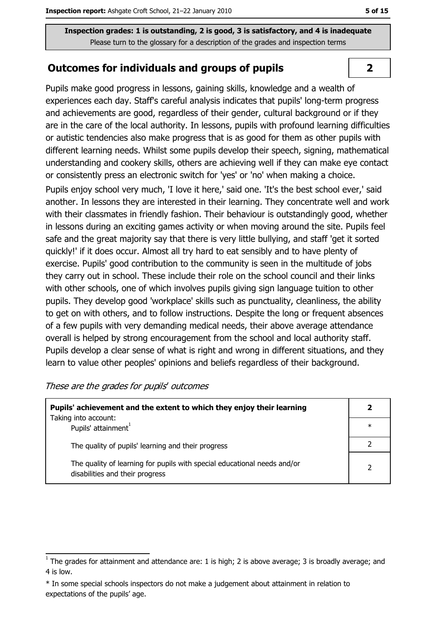#### **Outcomes for individuals and groups of pupils**

Pupils make good progress in lessons, gaining skills, knowledge and a wealth of experiences each day. Staff's careful analysis indicates that pupils' long-term progress and achievements are good, regardless of their gender, cultural background or if they are in the care of the local authority. In lessons, pupils with profound learning difficulties or autistic tendencies also make progress that is as good for them as other pupils with different learning needs. Whilst some pupils develop their speech, signing, mathematical understanding and cookery skills, others are achieving well if they can make eye contact or consistently press an electronic switch for 'yes' or 'no' when making a choice.

Pupils enjoy school very much, 'I love it here,' said one. 'It's the best school ever,' said another. In lessons they are interested in their learning. They concentrate well and work with their classmates in friendly fashion. Their behaviour is outstandingly good, whether in lessons during an exciting games activity or when moving around the site. Pupils feel safe and the great majority say that there is very little bullying, and staff 'get it sorted quickly!' if it does occur. Almost all try hard to eat sensibly and to have plenty of exercise. Pupils' good contribution to the community is seen in the multitude of jobs they carry out in school. These include their role on the school council and their links with other schools, one of which involves pupils giving sign language tuition to other pupils. They develop good 'workplace' skills such as punctuality, cleanliness, the ability to get on with others, and to follow instructions. Despite the long or frequent absences of a few pupils with very demanding medical needs, their above average attendance overall is helped by strong encouragement from the school and local authority staff. Pupils develop a clear sense of what is right and wrong in different situations, and they learn to value other peoples' opinions and beliefs regardless of their background.

| These are the grades for pupils' outcomes |  |  |  |
|-------------------------------------------|--|--|--|
|-------------------------------------------|--|--|--|

| Pupils' achievement and the extent to which they enjoy their learning                                       |        |  |
|-------------------------------------------------------------------------------------------------------------|--------|--|
| Taking into account:<br>Pupils' attainment                                                                  | $\ast$ |  |
| The quality of pupils' learning and their progress                                                          |        |  |
| The quality of learning for pupils with special educational needs and/or<br>disabilities and their progress |        |  |

 $\overline{2}$ 

 $\overline{1}$  The grades for attainment and attendance are: 1 is high; 2 is above average; 3 is broadly average; and 4 is low.

<sup>\*</sup> In some special schools inspectors do not make a judgement about attainment in relation to expectations of the pupils' age.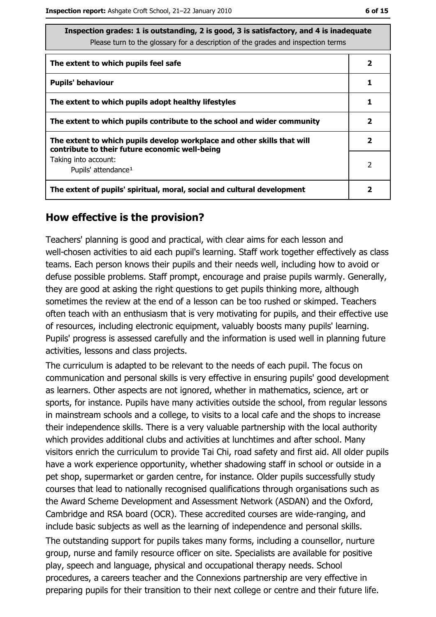| Inspection grades: 1 is outstanding, 2 is good, 3 is satisfactory, and 4 is inadequate<br>Please turn to the glossary for a description of the grades and inspection terms |                          |  |  |
|----------------------------------------------------------------------------------------------------------------------------------------------------------------------------|--------------------------|--|--|
| The extent to which pupils feel safe                                                                                                                                       | $\mathbf{2}$             |  |  |
| <b>Pupils' behaviour</b>                                                                                                                                                   | 1                        |  |  |
| The extent to which pupils adopt healthy lifestyles                                                                                                                        |                          |  |  |
| The extent to which pupils contribute to the school and wider community                                                                                                    |                          |  |  |
| The extent to which pupils develop workplace and other skills that will<br>contribute to their future economic well-being                                                  |                          |  |  |
| Taking into account:<br>Pupils' attendance <sup>1</sup>                                                                                                                    | $\overline{\phantom{a}}$ |  |  |
| The extent of pupils' spiritual, moral, social and cultural development                                                                                                    |                          |  |  |

#### How effective is the provision?

Teachers' planning is good and practical, with clear aims for each lesson and well-chosen activities to aid each pupil's learning. Staff work together effectively as class teams. Each person knows their pupils and their needs well, including how to avoid or defuse possible problems. Staff prompt, encourage and praise pupils warmly. Generally, they are good at asking the right questions to get pupils thinking more, although sometimes the review at the end of a lesson can be too rushed or skimped. Teachers often teach with an enthusiasm that is very motivating for pupils, and their effective use of resources, including electronic equipment, valuably boosts many pupils' learning. Pupils' progress is assessed carefully and the information is used well in planning future activities, lessons and class projects.

The curriculum is adapted to be relevant to the needs of each pupil. The focus on communication and personal skills is very effective in ensuring pupils' good development as learners. Other aspects are not ignored, whether in mathematics, science, art or sports, for instance. Pupils have many activities outside the school, from regular lessons in mainstream schools and a college, to visits to a local cafe and the shops to increase their independence skills. There is a very valuable partnership with the local authority which provides additional clubs and activities at lunchtimes and after school. Many visitors enrich the curriculum to provide Tai Chi, road safety and first aid. All older pupils have a work experience opportunity, whether shadowing staff in school or outside in a pet shop, supermarket or garden centre, for instance. Older pupils successfully study courses that lead to nationally recognised qualifications through organisations such as the Award Scheme Development and Assessment Network (ASDAN) and the Oxford, Cambridge and RSA board (OCR). These accredited courses are wide-ranging, and include basic subjects as well as the learning of independence and personal skills. The outstanding support for pupils takes many forms, including a counsellor, nurture group, nurse and family resource officer on site. Specialists are available for positive play, speech and language, physical and occupational therapy needs. School procedures, a careers teacher and the Connexions partnership are very effective in preparing pupils for their transition to their next college or centre and their future life.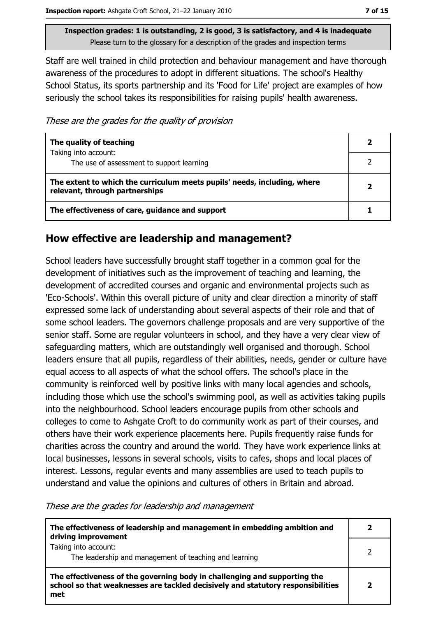Staff are well trained in child protection and behaviour management and have thorough awareness of the procedures to adopt in different situations. The school's Healthy School Status, its sports partnership and its 'Food for Life' project are examples of how seriously the school takes its responsibilities for raising pupils' health awareness.

These are the grades for the quality of provision

| The quality of teaching                                                                                    |  |
|------------------------------------------------------------------------------------------------------------|--|
| Taking into account:<br>The use of assessment to support learning                                          |  |
| The extent to which the curriculum meets pupils' needs, including, where<br>relevant, through partnerships |  |
| The effectiveness of care, guidance and support                                                            |  |

#### How effective are leadership and management?

School leaders have successfully brought staff together in a common goal for the development of initiatives such as the improvement of teaching and learning, the development of accredited courses and organic and environmental projects such as 'Eco-Schools'. Within this overall picture of unity and clear direction a minority of staff expressed some lack of understanding about several aspects of their role and that of some school leaders. The governors challenge proposals and are very supportive of the senior staff. Some are regular volunteers in school, and they have a very clear view of safeguarding matters, which are outstandingly well organised and thorough. School leaders ensure that all pupils, regardless of their abilities, needs, gender or culture have equal access to all aspects of what the school offers. The school's place in the community is reinforced well by positive links with many local agencies and schools, including those which use the school's swimming pool, as well as activities taking pupils into the neighbourhood. School leaders encourage pupils from other schools and colleges to come to Ashgate Croft to do community work as part of their courses, and others have their work experience placements here. Pupils frequently raise funds for charities across the country and around the world. They have work experience links at local businesses, lessons in several schools, visits to cafes, shops and local places of interest. Lessons, regular events and many assemblies are used to teach pupils to understand and value the opinions and cultures of others in Britain and abroad.

These are the grades for leadership and management

| The effectiveness of leadership and management in embedding ambition and<br>driving improvement                                                                     |  |
|---------------------------------------------------------------------------------------------------------------------------------------------------------------------|--|
| Taking into account:<br>The leadership and management of teaching and learning                                                                                      |  |
| The effectiveness of the governing body in challenging and supporting the<br>school so that weaknesses are tackled decisively and statutory responsibilities<br>met |  |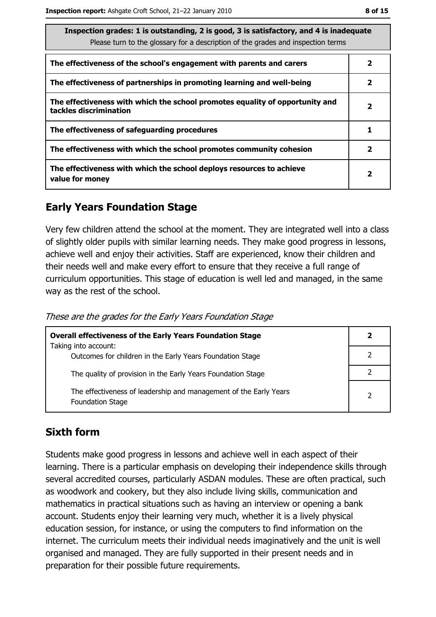| Inspection grades: 1 is outstanding, 2 is good, 3 is satisfactory, and 4 is inadequate<br>Please turn to the glossary for a description of the grades and inspection terms |   |  |  |
|----------------------------------------------------------------------------------------------------------------------------------------------------------------------------|---|--|--|
| The effectiveness of the school's engagement with parents and carers                                                                                                       | 2 |  |  |
| The effectiveness of partnerships in promoting learning and well-being                                                                                                     |   |  |  |
| The effectiveness with which the school promotes equality of opportunity and<br>tackles discrimination                                                                     |   |  |  |
| The effectiveness of safeguarding procedures                                                                                                                               |   |  |  |
| The effectiveness with which the school promotes community cohesion                                                                                                        |   |  |  |
| The effectiveness with which the school deploys resources to achieve<br>value for money                                                                                    |   |  |  |

# **Early Years Foundation Stage**

Very few children attend the school at the moment. They are integrated well into a class of slightly older pupils with similar learning needs. They make good progress in lessons, achieve well and enjoy their activities. Staff are experienced, know their children and their needs well and make every effort to ensure that they receive a full range of curriculum opportunities. This stage of education is well led and managed, in the same way as the rest of the school.

These are the grades for the Early Years Foundation Stage

| <b>Overall effectiveness of the Early Years Foundation Stage</b>                             | 2              |
|----------------------------------------------------------------------------------------------|----------------|
| Taking into account:                                                                         |                |
| Outcomes for children in the Early Years Foundation Stage                                    |                |
| The quality of provision in the Early Years Foundation Stage                                 |                |
| The effectiveness of leadership and management of the Early Years<br><b>Foundation Stage</b> | $\overline{2}$ |

## **Sixth form**

Students make good progress in lessons and achieve well in each aspect of their learning. There is a particular emphasis on developing their independence skills through several accredited courses, particularly ASDAN modules. These are often practical, such as woodwork and cookery, but they also include living skills, communication and mathematics in practical situations such as having an interview or opening a bank account. Students enjoy their learning very much, whether it is a lively physical education session, for instance, or using the computers to find information on the internet. The curriculum meets their individual needs imaginatively and the unit is well organised and managed. They are fully supported in their present needs and in preparation for their possible future requirements.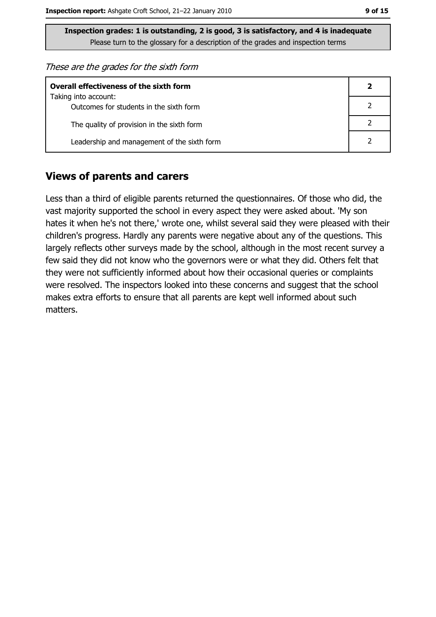These are the grades for the sixth form

| <b>Overall effectiveness of the sixth form</b> |  |  |  |
|------------------------------------------------|--|--|--|
| Taking into account:                           |  |  |  |
| Outcomes for students in the sixth form        |  |  |  |
| The quality of provision in the sixth form     |  |  |  |
| Leadership and management of the sixth form    |  |  |  |

#### **Views of parents and carers**

Less than a third of eligible parents returned the questionnaires. Of those who did, the vast majority supported the school in every aspect they were asked about. 'My son hates it when he's not there,' wrote one, whilst several said they were pleased with their children's progress. Hardly any parents were negative about any of the questions. This largely reflects other surveys made by the school, although in the most recent survey a few said they did not know who the governors were or what they did. Others felt that they were not sufficiently informed about how their occasional queries or complaints were resolved. The inspectors looked into these concerns and suggest that the school makes extra efforts to ensure that all parents are kept well informed about such matters.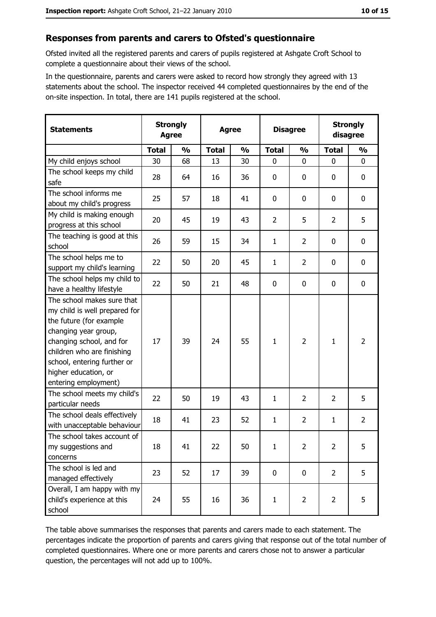#### Responses from parents and carers to Ofsted's questionnaire

Ofsted invited all the registered parents and carers of pupils registered at Ashgate Croft School to complete a questionnaire about their views of the school.

In the questionnaire, parents and carers were asked to record how strongly they agreed with 13 statements about the school. The inspector received 44 completed questionnaires by the end of the on-site inspection. In total, there are 141 pupils registered at the school.

| <b>Statements</b>                                                                                                                                                                                                                                       | <b>Strongly</b><br><b>Agree</b> |               | <b>Agree</b> |               |                | <b>Disagree</b> |                | <b>Strongly</b><br>disagree |
|---------------------------------------------------------------------------------------------------------------------------------------------------------------------------------------------------------------------------------------------------------|---------------------------------|---------------|--------------|---------------|----------------|-----------------|----------------|-----------------------------|
|                                                                                                                                                                                                                                                         | <b>Total</b>                    | $\frac{0}{0}$ | <b>Total</b> | $\frac{0}{0}$ | <b>Total</b>   | $\frac{0}{0}$   | <b>Total</b>   | $\frac{0}{0}$               |
| My child enjoys school                                                                                                                                                                                                                                  | 30                              | 68            | 13           | 30            | $\mathbf 0$    | $\mathbf 0$     | $\mathbf 0$    | 0                           |
| The school keeps my child<br>safe                                                                                                                                                                                                                       | 28                              | 64            | 16           | 36            | 0              | 0               | 0              | 0                           |
| The school informs me<br>about my child's progress                                                                                                                                                                                                      | 25                              | 57            | 18           | 41            | 0              | $\mathbf 0$     | 0              | 0                           |
| My child is making enough<br>progress at this school                                                                                                                                                                                                    | 20                              | 45            | 19           | 43            | $\overline{2}$ | 5               | $\overline{2}$ | 5                           |
| The teaching is good at this<br>school                                                                                                                                                                                                                  | 26                              | 59            | 15           | 34            | $\mathbf{1}$   | $\overline{2}$  | 0              | 0                           |
| The school helps me to<br>support my child's learning                                                                                                                                                                                                   | 22                              | 50            | 20           | 45            | $\mathbf{1}$   | $\overline{2}$  | 0              | 0                           |
| The school helps my child to<br>have a healthy lifestyle                                                                                                                                                                                                | 22                              | 50            | 21           | 48            | 0              | 0               | $\mathbf 0$    | 0                           |
| The school makes sure that<br>my child is well prepared for<br>the future (for example<br>changing year group,<br>changing school, and for<br>children who are finishing<br>school, entering further or<br>higher education, or<br>entering employment) | 17                              | 39            | 24           | 55            | $\mathbf{1}$   | $\overline{2}$  | 1              | $\overline{2}$              |
| The school meets my child's<br>particular needs                                                                                                                                                                                                         | 22                              | 50            | 19           | 43            | 1              | $\overline{2}$  | $\overline{2}$ | 5                           |
| The school deals effectively<br>with unacceptable behaviour                                                                                                                                                                                             | 18                              | 41            | 23           | 52            | $\mathbf{1}$   | $\overline{2}$  | 1              | $\overline{2}$              |
| The school takes account of<br>my suggestions and<br>concerns                                                                                                                                                                                           | 18                              | 41            | 22           | 50            | $\mathbf{1}$   | $\overline{2}$  | $\overline{2}$ | 5                           |
| The school is led and<br>managed effectively                                                                                                                                                                                                            | 23                              | 52            | 17           | 39            | $\mathbf 0$    | 0               | $\overline{2}$ | 5                           |
| Overall, I am happy with my<br>child's experience at this<br>school                                                                                                                                                                                     | 24                              | 55            | 16           | 36            | $\mathbf{1}$   | $\overline{2}$  | $\overline{2}$ | 5                           |

The table above summarises the responses that parents and carers made to each statement. The percentages indicate the proportion of parents and carers giving that response out of the total number of completed questionnaires. Where one or more parents and carers chose not to answer a particular question, the percentages will not add up to 100%.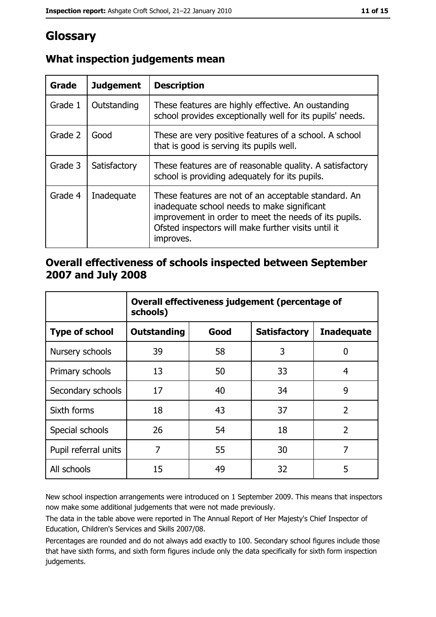# Glossary

| Grade   | <b>Judgement</b> | <b>Description</b>                                                                                                                                                                                                               |  |
|---------|------------------|----------------------------------------------------------------------------------------------------------------------------------------------------------------------------------------------------------------------------------|--|
| Grade 1 | Outstanding      | These features are highly effective. An oustanding<br>school provides exceptionally well for its pupils' needs.                                                                                                                  |  |
| Grade 2 | Good             | These are very positive features of a school. A school<br>that is good is serving its pupils well.                                                                                                                               |  |
| Grade 3 | Satisfactory     | These features are of reasonable quality. A satisfactory<br>school is providing adequately for its pupils.                                                                                                                       |  |
| Grade 4 | Inadequate       | These features are not of an acceptable standard. An<br>inadequate school needs to make significant<br>improvement in order to meet the needs of its pupils.<br>Ofsted inspectors will make further visits until it<br>improves. |  |

# What inspection judgements mean

## Overall effectiveness of schools inspected between September 2007 and July 2008

|                       | Overall effectiveness judgement (percentage of<br>schools) |      |                     |                   |  |  |
|-----------------------|------------------------------------------------------------|------|---------------------|-------------------|--|--|
| <b>Type of school</b> | <b>Outstanding</b>                                         | Good | <b>Satisfactory</b> | <b>Inadequate</b> |  |  |
| Nursery schools       | 39                                                         | 58   | 3                   | 0                 |  |  |
| Primary schools       | 13                                                         | 50   | 33                  | 4                 |  |  |
| Secondary schools     | 17                                                         | 40   | 34                  | 9                 |  |  |
| Sixth forms           | 18                                                         | 43   | 37                  | $\overline{2}$    |  |  |
| Special schools       | 26                                                         | 54   | 18                  | $\overline{2}$    |  |  |
| Pupil referral units  | 7                                                          | 55   | 30                  | 7                 |  |  |
| All schools           | 15                                                         | 49   | 32                  | 5                 |  |  |

New school inspection arrangements were introduced on 1 September 2009. This means that inspectors now make some additional judgements that were not made previously.

The data in the table above were reported in The Annual Report of Her Majesty's Chief Inspector of Education, Children's Services and Skills 2007/08.

Percentages are rounded and do not always add exactly to 100. Secondary school figures include those that have sixth forms, and sixth form figures include only the data specifically for sixth form inspection judgements.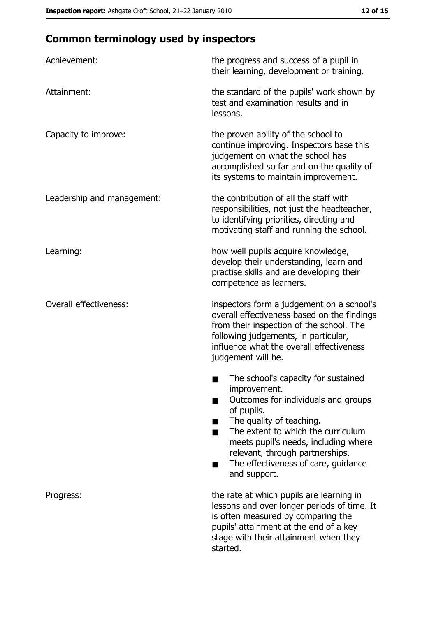# **Common terminology used by inspectors**

| Achievement:                  | the progress and success of a pupil in<br>their learning, development or training.                                                                                                                                                                                                                           |  |  |
|-------------------------------|--------------------------------------------------------------------------------------------------------------------------------------------------------------------------------------------------------------------------------------------------------------------------------------------------------------|--|--|
| Attainment:                   | the standard of the pupils' work shown by<br>test and examination results and in<br>lessons.                                                                                                                                                                                                                 |  |  |
| Capacity to improve:          | the proven ability of the school to<br>continue improving. Inspectors base this<br>judgement on what the school has<br>accomplished so far and on the quality of<br>its systems to maintain improvement.                                                                                                     |  |  |
| Leadership and management:    | the contribution of all the staff with<br>responsibilities, not just the headteacher,<br>to identifying priorities, directing and<br>motivating staff and running the school.                                                                                                                                |  |  |
| Learning:                     | how well pupils acquire knowledge,<br>develop their understanding, learn and<br>practise skills and are developing their<br>competence as learners.                                                                                                                                                          |  |  |
| <b>Overall effectiveness:</b> | inspectors form a judgement on a school's<br>overall effectiveness based on the findings<br>from their inspection of the school. The<br>following judgements, in particular,<br>influence what the overall effectiveness<br>judgement will be.                                                               |  |  |
|                               | The school's capacity for sustained<br>improvement.<br>Outcomes for individuals and groups<br>of pupils.<br>The quality of teaching.<br>The extent to which the curriculum<br>meets pupil's needs, including where<br>relevant, through partnerships.<br>The effectiveness of care, guidance<br>and support. |  |  |
| Progress:                     | the rate at which pupils are learning in<br>lessons and over longer periods of time. It<br>is often measured by comparing the<br>pupils' attainment at the end of a key<br>stage with their attainment when they<br>started.                                                                                 |  |  |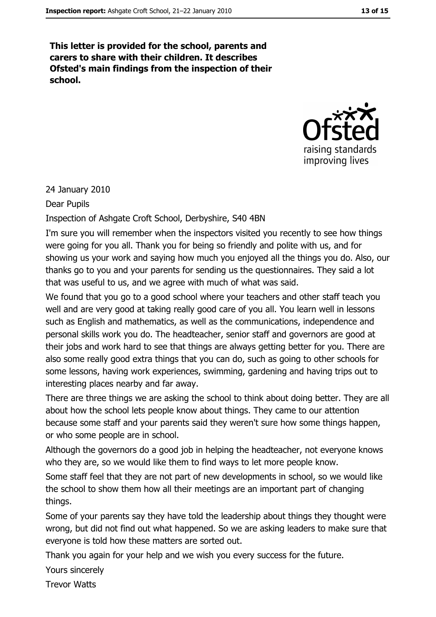This letter is provided for the school, parents and carers to share with their children. It describes Ofsted's main findings from the inspection of their school.



24 January 2010

Dear Pupils

Inspection of Ashgate Croft School, Derbyshire, S40 4BN

I'm sure you will remember when the inspectors visited you recently to see how things were going for you all. Thank you for being so friendly and polite with us, and for showing us your work and saying how much you enjoyed all the things you do. Also, our thanks go to you and your parents for sending us the questionnaires. They said a lot that was useful to us, and we agree with much of what was said.

We found that you go to a good school where your teachers and other staff teach you well and are very good at taking really good care of you all. You learn well in lessons such as English and mathematics, as well as the communications, independence and personal skills work you do. The headteacher, senior staff and governors are good at their jobs and work hard to see that things are always getting better for you. There are also some really good extra things that you can do, such as going to other schools for some lessons, having work experiences, swimming, gardening and having trips out to interesting places nearby and far away.

There are three things we are asking the school to think about doing better. They are all about how the school lets people know about things. They came to our attention because some staff and your parents said they weren't sure how some things happen, or who some people are in school.

Although the governors do a good job in helping the headteacher, not everyone knows who they are, so we would like them to find ways to let more people know.

Some staff feel that they are not part of new developments in school, so we would like the school to show them how all their meetings are an important part of changing things.

Some of your parents say they have told the leadership about things they thought were wrong, but did not find out what happened. So we are asking leaders to make sure that everyone is told how these matters are sorted out.

Thank you again for your help and we wish you every success for the future.

Yours sincerely

**Trevor Watts**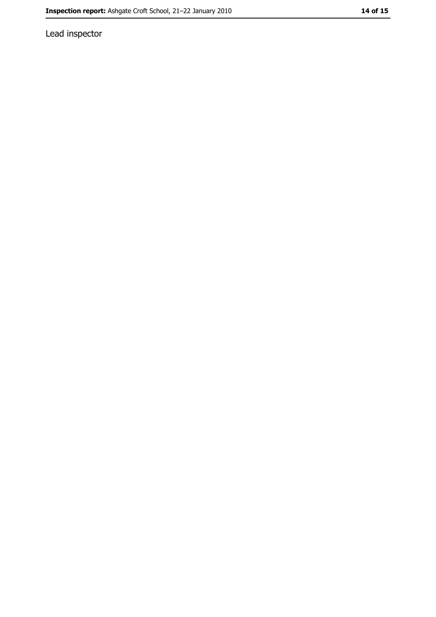Lead inspector